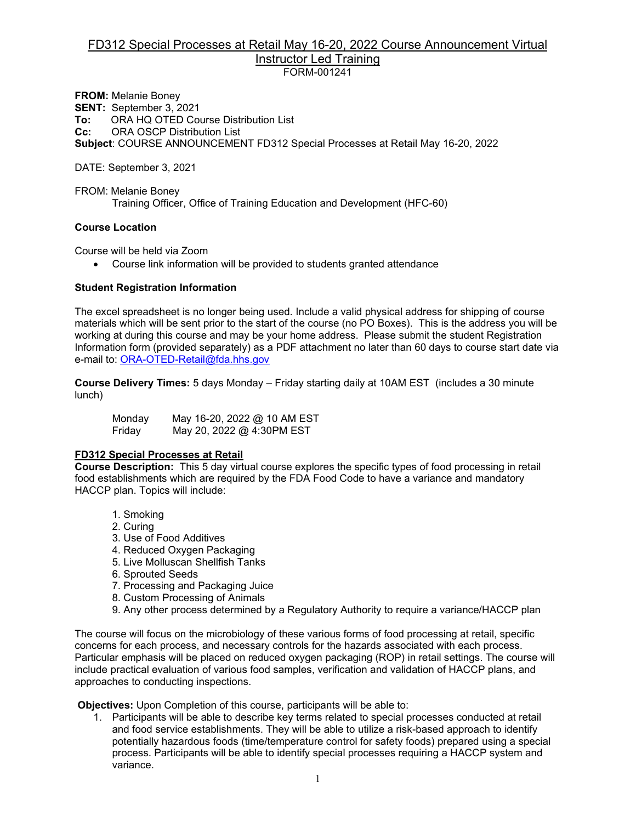#### FD312 Special Processes at Retail May 16-20, 2022 Course Announcement Virtual Instructor Led Training FORM-001241

**FROM:** Melanie Boney **SENT:** September 3, 2021 **To:** ORA HQ OTED Course Distribution List<br>**Cc:** ORA OSCP Distribution List **CRA OSCP Distribution List Subject**: COURSE ANNOUNCEMENT FD312 Special Processes at Retail May 16-20, 2022

DATE: September 3, 2021

FROM: Melanie Boney Training Officer, Office of Training Education and Development (HFC-60)

#### **Course Location**

Course will be held via Zoom

• Course link information will be provided to students granted attendance

#### **Student Registration Information**

The excel spreadsheet is no longer being used. Include a valid physical address for shipping of course materials which will be sent prior to the start of the course (no PO Boxes). This is the address you will be working at during this course and may be your home address. Please submit the student Registration Information form (provided separately) as a PDF attachment no later than 60 days to course start date via e-mail to: [ORA-OTED-Retail@fda.hhs.gov](mailto:ORA-OTED-Retail@fda.hhs.gov)

**Course Delivery Times:** 5 days Monday – Friday starting daily at 10AM EST (includes a 30 minute lunch)

Monday May 16-20, 2022 @ 10 AM EST Friday May 20, 2022 @ 4:30PM EST

#### **FD312 Special Processes at Retail**

**Course Description:** This 5 day virtual course explores the specific types of food processing in retail food establishments which are required by the FDA Food Code to have a variance and mandatory HACCP plan. Topics will include:

- 1. Smoking
- 2. Curing
- 3. Use of Food Additives
- 4. Reduced Oxygen Packaging
- 5. Live Molluscan Shellfish Tanks
- 6. Sprouted Seeds
- 7. Processing and Packaging Juice
- 8. Custom Processing of Animals
- 9. Any other process determined by a Regulatory Authority to require a variance/HACCP plan

The course will focus on the microbiology of these various forms of food processing at retail, specific concerns for each process, and necessary controls for the hazards associated with each process. Particular emphasis will be placed on reduced oxygen packaging (ROP) in retail settings. The course will include practical evaluation of various food samples, verification and validation of HACCP plans, and approaches to conducting inspections.

**Objectives:** Upon Completion of this course, participants will be able to:

1. Participants will be able to describe key terms related to special processes conducted at retail and food service establishments. They will be able to utilize a risk-based approach to identify potentially hazardous foods (time/temperature control for safety foods) prepared using a special process. Participants will be able to identify special processes requiring a HACCP system and variance.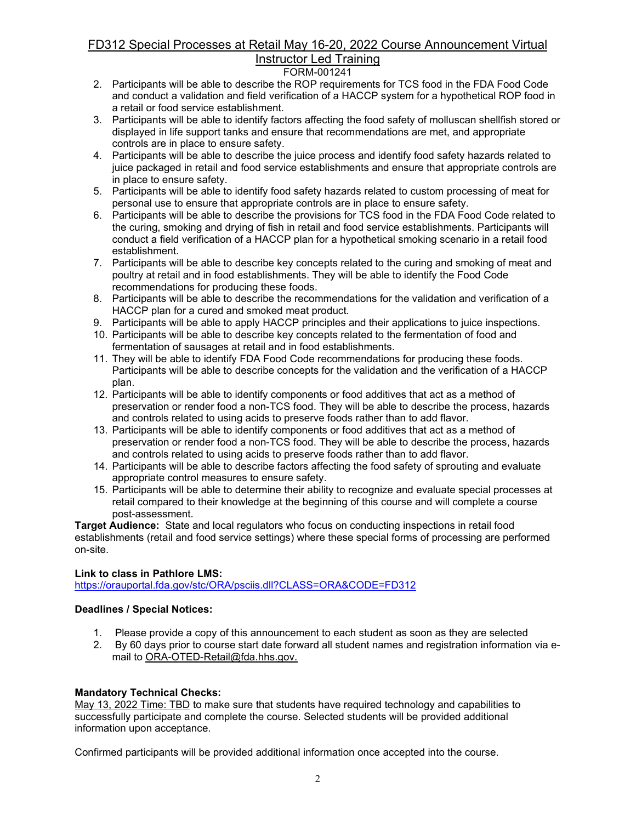# FD312 Special Processes at Retail May 16-20, 2022 Course Announcement Virtual Instructor Led Training

## FORM-001241

- 2. Participants will be able to describe the ROP requirements for TCS food in the FDA Food Code and conduct a validation and field verification of a HACCP system for a hypothetical ROP food in a retail or food service establishment.
- 3. Participants will be able to identify factors affecting the food safety of molluscan shellfish stored or displayed in life support tanks and ensure that recommendations are met, and appropriate controls are in place to ensure safety.
- 4. Participants will be able to describe the juice process and identify food safety hazards related to juice packaged in retail and food service establishments and ensure that appropriate controls are in place to ensure safety.
- 5. Participants will be able to identify food safety hazards related to custom processing of meat for personal use to ensure that appropriate controls are in place to ensure safety.
- 6. Participants will be able to describe the provisions for TCS food in the FDA Food Code related to the curing, smoking and drying of fish in retail and food service establishments. Participants will conduct a field verification of a HACCP plan for a hypothetical smoking scenario in a retail food establishment.
- 7. Participants will be able to describe key concepts related to the curing and smoking of meat and poultry at retail and in food establishments. They will be able to identify the Food Code recommendations for producing these foods.
- 8. Participants will be able to describe the recommendations for the validation and verification of a HACCP plan for a cured and smoked meat product.
- 9. Participants will be able to apply HACCP principles and their applications to juice inspections.
- 10. Participants will be able to describe key concepts related to the fermentation of food and fermentation of sausages at retail and in food establishments.
- 11. They will be able to identify FDA Food Code recommendations for producing these foods. Participants will be able to describe concepts for the validation and the verification of a HACCP plan.
- 12. Participants will be able to identify components or food additives that act as a method of preservation or render food a non-TCS food. They will be able to describe the process, hazards and controls related to using acids to preserve foods rather than to add flavor.
- 13. Participants will be able to identify components or food additives that act as a method of preservation or render food a non-TCS food. They will be able to describe the process, hazards and controls related to using acids to preserve foods rather than to add flavor.
- 14. Participants will be able to describe factors affecting the food safety of sprouting and evaluate appropriate control measures to ensure safety.
- 15. Participants will be able to determine their ability to recognize and evaluate special processes at retail compared to their knowledge at the beginning of this course and will complete a course post-assessment.

**Target Audience:** State and local regulators who focus on conducting inspections in retail food establishments (retail and food service settings) where these special forms of processing are performed on-site.

#### **Link to class in Pathlore LMS:**

<https://orauportal.fda.gov/stc/ORA/psciis.dll?CLASS=ORA&CODE=FD312>

#### **Deadlines / Special Notices:**

- 1. Please provide a copy of this announcement to each student as soon as they are selected
- 2. By 60 days prior to course start date forward all student names and registration information via email to ORA-OTED-Retail@fda.hhs.gov.

#### **Mandatory Technical Checks:**

May 13, 2022 Time: TBD to make sure that students have required technology and capabilities to successfully participate and complete the course. Selected students will be provided additional information upon acceptance.

Confirmed participants will be provided additional information once accepted into the course.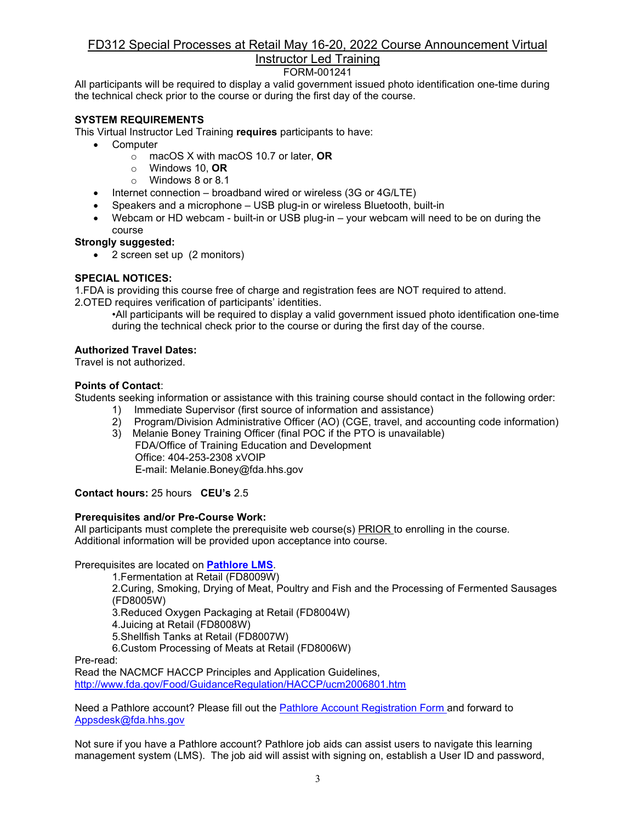# FD312 Special Processes at Retail May 16-20, 2022 Course Announcement Virtual

# Instructor Led Training

FORM-001241

All participants will be required to display a valid government issued photo identification one-time during the technical check prior to the course or during the first day of the course.

### **SYSTEM REQUIREMENTS**

This Virtual Instructor Led Training **requires** participants to have:

- Computer
	- o macOS X with macOS 10.7 or later, **OR**
	- o Windows 10, **OR**
	- o Windows 8 or 8.1
- Internet connection broadband wired or wireless (3G or 4G/LTE)
- Speakers and a microphone USB plug-in or wireless Bluetooth, built-in
- Webcam or HD webcam built-in or USB plug-in your webcam will need to be on during the course

#### **Strongly suggested:**

• 2 screen set up (2 monitors)

#### **SPECIAL NOTICES:**

1.FDA is providing this course free of charge and registration fees are NOT required to attend.

2.OTED requires verification of participants' identities.

•All participants will be required to display a valid government issued photo identification one-time during the technical check prior to the course or during the first day of the course.

#### **Authorized Travel Dates:**

Travel is not authorized.

#### **Points of Contact**:

Students seeking information or assistance with this training course should contact in the following order:

- 1) Immediate Supervisor (first source of information and assistance)<br>2) Program/Division Administrative Officer (AO) (CGE, travel, and ac
- 2) Program/Division Administrative Officer (AO) (CGE, travel, and accounting code information)
- 3) Melanie Boney Training Officer (final POC if the PTO is unavailable) FDA/Office of Training Education and Development Office: 404-253-2308 xVOIP E-mail: Melanie.Boney@fda.hhs.gov

**Contact hours:** 25 hours **CEU's** 2.5

#### **Prerequisites and/or Pre-Course Work:**

All participants must complete the prerequisite web course(s) PRIOR to enrolling in the course. Additional information will be provided upon acceptance into course.

Prerequisites are located on **[Pathlore LMS](https://orauportal.fda.gov/stc/ORA/psciis.dll?linkid=383299&mainmenu=ORA&top_frame=1)**.

1.Fermentation at Retail (FD8009W)

2.Curing, Smoking, Drying of Meat, Poultry and Fish and the Processing of Fermented Sausages (FD8005W)

3.Reduced Oxygen Packaging at Retail (FD8004W)

4.Juicing at Retail (FD8008W)

5.Shellfish Tanks at Retail (FD8007W)

6.Custom Processing of Meats at Retail (FD8006W)

Pre-read:

Read the NACMCF HACCP Principles and Application Guidelines, <http://www.fda.gov/Food/GuidanceRegulation/HACCP/ucm2006801.htm>

Need a Pathlore account? Please fill out the [Pathlore Account Registration Form a](https://orauportal.fda.gov/stc/ORA/OTEDPathloreRegistrationAccountRequestForm.pdf)nd forward to [Appsdesk@fda.hhs.gov](mailto:Appsdesk@fda.hhs.gov)

Not sure if you have a Pathlore account? Pathlore job aids can assist users to navigate this learning management system (LMS). The job aid will assist with signing on, establish a User ID and password,